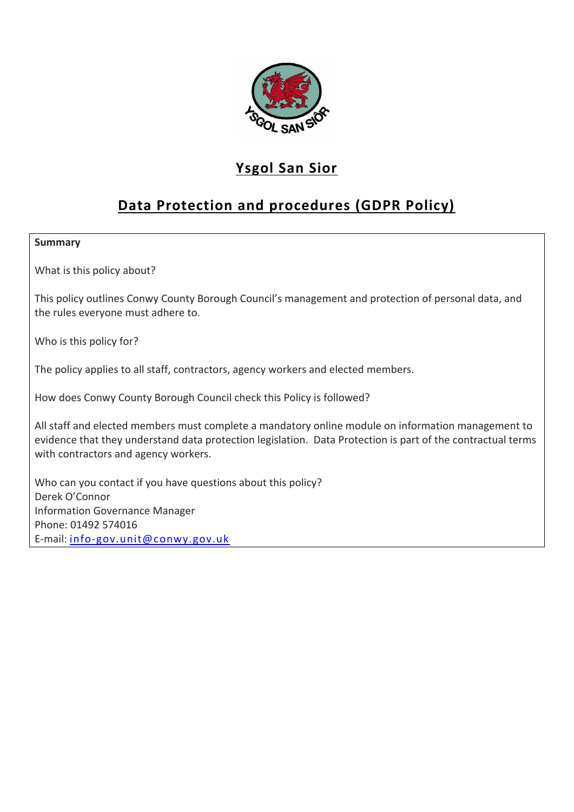

# **Ysgol San Sior**

# **Data Protection and procedures (GDPR Policy)**

#### **Summary**

What is this policy about?

This policy outlines Conwy County Borough Council's management and protection of personal data, and the rules everyone must adhere to.

Who is this policy for?

The policy applies to all staff, contractors, agency workers and elected members.

How does Conwy County Borough Council check this Policy is followed?

All staff and elected members must complete a mandatory online module on information management to evidence that they understand data protection legislation. Data Protection is part of the contractual terms with contractors and agency workers.

Who can you contact if you have questions about this policy? Derek O'Connor Information Governance Manager Phone: 01492 574016 E-mail: [info-gov.unit@conwy.gov.uk](mailto:info-gov.unit@conwy.gov.uk)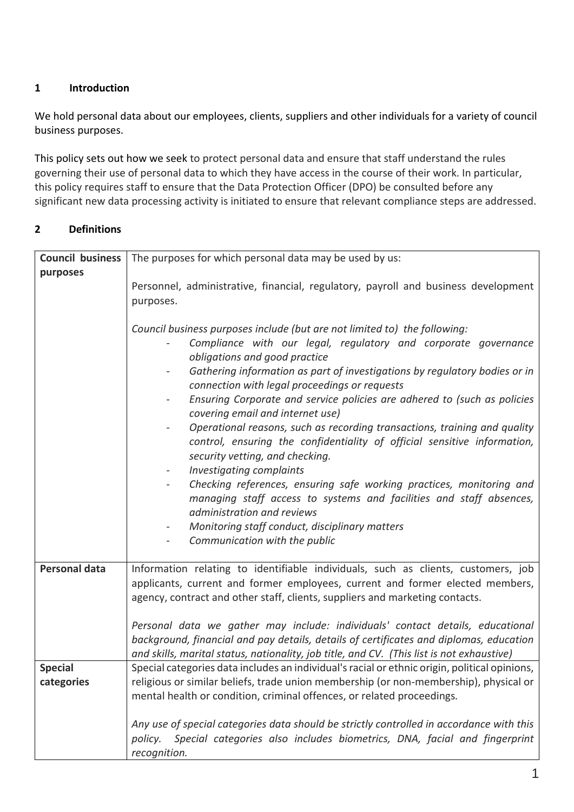# **1 Introduction**

We hold personal data about our employees, clients, suppliers and other individuals for a variety of council business purposes.

This policy sets out how we seek to protect personal data and ensure that staff understand the rules governing their use of personal data to which they have access in the course of their work. In particular, this policy requires staff to ensure that the Data Protection Officer (DPO) be consulted before any significant new data processing activity is initiated to ensure that relevant compliance steps are addressed.

## **2 Definitions**

| <b>Council business</b> | The purposes for which personal data may be used by us:                                          |
|-------------------------|--------------------------------------------------------------------------------------------------|
| purposes                |                                                                                                  |
|                         | Personnel, administrative, financial, regulatory, payroll and business development               |
|                         | purposes.                                                                                        |
|                         |                                                                                                  |
|                         | Council business purposes include (but are not limited to) the following:                        |
|                         | Compliance with our legal, regulatory and corporate governance                                   |
|                         | obligations and good practice                                                                    |
|                         | Gathering information as part of investigations by regulatory bodies or in                       |
|                         | connection with legal proceedings or requests                                                    |
|                         | Ensuring Corporate and service policies are adhered to (such as policies                         |
|                         | covering email and internet use)                                                                 |
|                         | Operational reasons, such as recording transactions, training and quality                        |
|                         | control, ensuring the confidentiality of official sensitive information,                         |
|                         | security vetting, and checking.                                                                  |
|                         | Investigating complaints<br>$\overline{\phantom{a}}$                                             |
|                         | Checking references, ensuring safe working practices, monitoring and<br>$\overline{\phantom{a}}$ |
|                         | managing staff access to systems and facilities and staff absences,                              |
|                         | administration and reviews                                                                       |
|                         | Monitoring staff conduct, disciplinary matters                                                   |
|                         | Communication with the public                                                                    |
| <b>Personal data</b>    | Information relating to identifiable individuals, such as clients, customers, job                |
|                         | applicants, current and former employees, current and former elected members,                    |
|                         | agency, contract and other staff, clients, suppliers and marketing contacts.                     |
|                         |                                                                                                  |
|                         | Personal data we gather may include: individuals' contact details, educational                   |
|                         | background, financial and pay details, details of certificates and diplomas, education           |
|                         | and skills, marital status, nationality, job title, and CV. (This list is not exhaustive)        |
| <b>Special</b>          | Special categories data includes an individual's racial or ethnic origin, political opinions,    |
| categories              | religious or similar beliefs, trade union membership (or non-membership), physical or            |
|                         | mental health or condition, criminal offences, or related proceedings.                           |
|                         |                                                                                                  |
|                         | Any use of special categories data should be strictly controlled in accordance with this         |
|                         | Special categories also includes biometrics, DNA, facial and fingerprint<br>policy.              |
|                         | recognition.                                                                                     |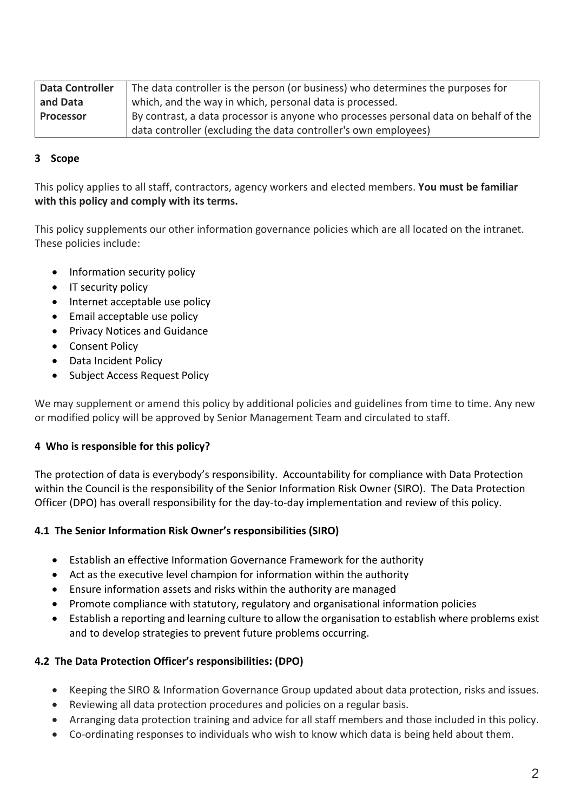| <b>Data Controller</b> | The data controller is the person (or business) who determines the purposes for      |
|------------------------|--------------------------------------------------------------------------------------|
| and Data               | which, and the way in which, personal data is processed.                             |
| <b>Processor</b>       | By contrast, a data processor is anyone who processes personal data on behalf of the |
|                        | data controller (excluding the data controller's own employees)                      |

## **3 Scope**

This policy applies to all staff, contractors, agency workers and elected members. **You must be familiar with this policy and comply with its terms.**

This policy supplements our other information governance policies which are all located on the intranet. These policies include:

- Information security policy
- IT security policy
- Internet acceptable use policy
- Email acceptable use policy
- **•** Privacy Notices and Guidance
- Consent Policy
- Data Incident Policy
- Subject Access Request Policy

We may supplement or amend this policy by additional policies and guidelines from time to time. Any new or modified policy will be approved by Senior Management Team and circulated to staff.

#### **4 Who is responsible for this policy?**

The protection of data is everybody's responsibility. Accountability for compliance with Data Protection within the Council is the responsibility of the Senior Information Risk Owner (SIRO). The Data Protection Officer (DPO) has overall responsibility for the day-to-day implementation and review of this policy.

#### **4.1 The Senior Information Risk Owner's responsibilities (SIRO)**

- Establish an effective Information Governance Framework for the authority
- Act as the executive level champion for information within the authority
- Ensure information assets and risks within the authority are managed
- Promote compliance with statutory, regulatory and organisational information policies
- Establish a reporting and learning culture to allow the organisation to establish where problems exist and to develop strategies to prevent future problems occurring.

#### **4.2 The Data Protection Officer's responsibilities: (DPO)**

- Keeping the SIRO & Information Governance Group updated about data protection, risks and issues.
- Reviewing all data protection procedures and policies on a regular basis.
- Arranging data protection training and advice for all staff members and those included in this policy.
- Co-ordinating responses to individuals who wish to know which data is being held about them.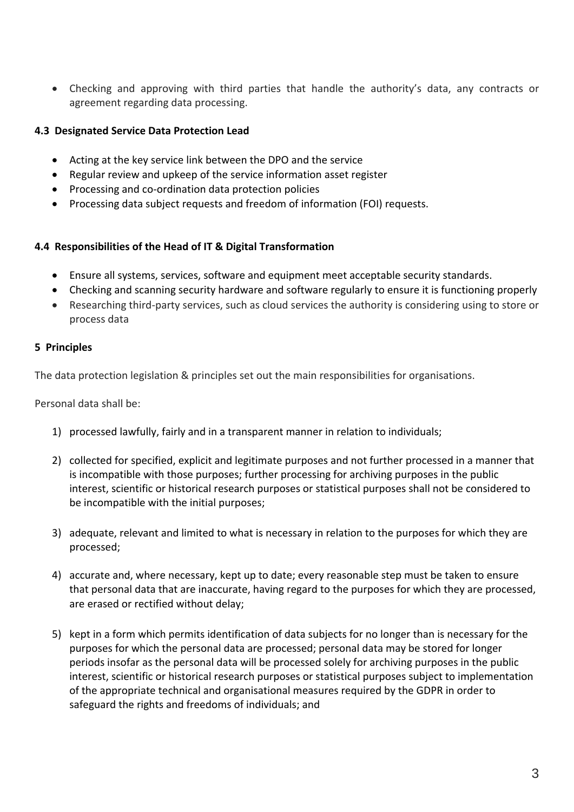Checking and approving with third parties that handle the authority's data, any contracts or agreement regarding data processing.

### **4.3 Designated Service Data Protection Lead**

- Acting at the key service link between the DPO and the service
- Regular review and upkeep of the service information asset register
- Processing and co-ordination data protection policies
- Processing data subject requests and freedom of information (FOI) requests.

#### **4.4 Responsibilities of the Head of IT & Digital Transformation**

- Ensure all systems, services, software and equipment meet acceptable security standards.
- Checking and scanning security hardware and software regularly to ensure it is functioning properly
- Researching third-party services, such as cloud services the authority is considering using to store or process data

## **5 Principles**

The data protection legislation & principles set out the main responsibilities for organisations.

Personal data shall be:

- 1) processed lawfully, fairly and in a transparent manner in relation to individuals;
- 2) collected for specified, explicit and legitimate purposes and not further processed in a manner that is incompatible with those purposes; further processing for archiving purposes in the public interest, scientific or historical research purposes or statistical purposes shall not be considered to be incompatible with the initial purposes;
- 3) adequate, relevant and limited to what is necessary in relation to the purposes for which they are processed;
- 4) accurate and, where necessary, kept up to date; every reasonable step must be taken to ensure that personal data that are inaccurate, having regard to the purposes for which they are processed, are erased or rectified without delay;
- 5) kept in a form which permits identification of data subjects for no longer than is necessary for the purposes for which the personal data are processed; personal data may be stored for longer periods insofar as the personal data will be processed solely for archiving purposes in the public interest, scientific or historical research purposes or statistical purposes subject to implementation of the appropriate technical and organisational measures required by the GDPR in order to safeguard the rights and freedoms of individuals; and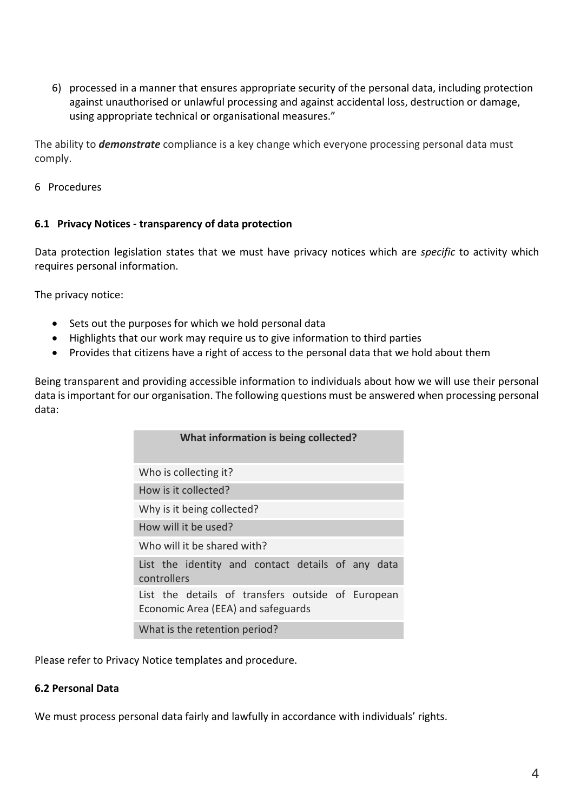6) processed in a manner that ensures appropriate security of the personal data, including protection against unauthorised or unlawful processing and against accidental loss, destruction or damage, using appropriate technical or organisational measures."

The ability to *demonstrate* compliance is a key change which everyone processing personal data must comply.

#### 6 Procedures

#### **6.1 Privacy Notices - transparency of data protection**

Data protection legislation states that we must have privacy notices which are *specific* to activity which requires personal information.

The privacy notice:

- Sets out the purposes for which we hold personal data
- Highlights that our work may require us to give information to third parties
- Provides that citizens have a right of access to the personal data that we hold about them

Being transparent and providing accessible information to individuals about how we will use their personal data is important for our organisation. The following questions must be answered when processing personal data:

| What information is being collected?                                                    |
|-----------------------------------------------------------------------------------------|
| Who is collecting it?                                                                   |
| How is it collected?                                                                    |
| Why is it being collected?                                                              |
| How will it be used?                                                                    |
| Who will it be shared with?                                                             |
| List the identity and contact details of any data<br>controllers                        |
| List the details of transfers outside of European<br>Economic Area (EEA) and safeguards |
| What is the retention period?                                                           |

Please refer to Privacy Notice templates and procedure.

#### **6.2 Personal Data**

We must process personal data fairly and lawfully in accordance with individuals' rights.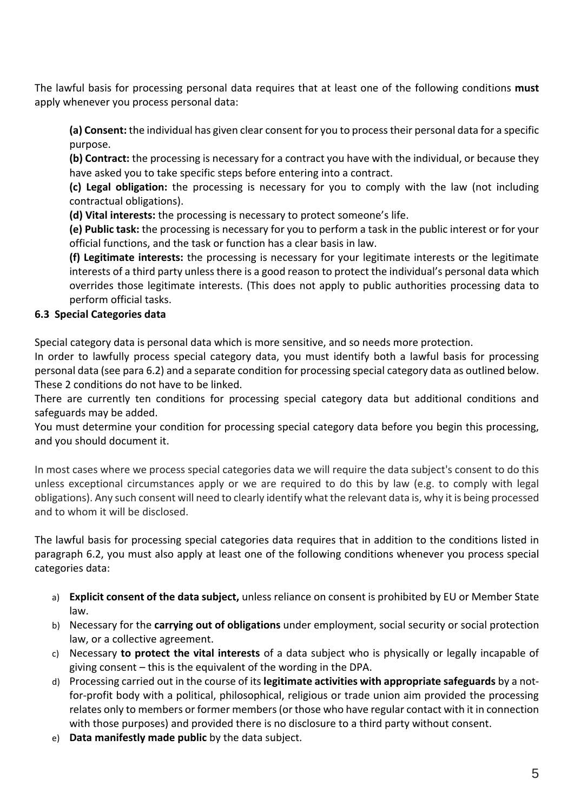The lawful basis for processing personal data requires that at least one of the following conditions **must** apply whenever you process personal data:

**(a) Consent:** the individual has given clear consent for you to process their personal data for a specific purpose.

**(b) Contract:** the processing is necessary for a contract you have with the individual, or because they have asked you to take specific steps before entering into a contract.

**(c) Legal obligation:** the processing is necessary for you to comply with the law (not including contractual obligations).

**(d) Vital interests:** the processing is necessary to protect someone's life.

**(e) Public task:** the processing is necessary for you to perform a task in the public interest or for your official functions, and the task or function has a clear basis in law.

**(f) Legitimate interests:** the processing is necessary for your legitimate interests or the legitimate interests of a third party unless there is a good reason to protect the individual's personal data which overrides those legitimate interests. (This does not apply to public authorities processing data to perform official tasks.

# **6.3 Special Categories data**

Special category data is personal data which is more sensitive, and so needs more protection.

In order to lawfully process special category data, you must identify both a lawful basis for processing personal data (see para 6.2) and a separate condition for processing special category data as outlined below. These 2 conditions do not have to be linked.

There are currently ten conditions for processing special category data but additional conditions and safeguards may be added.

You must determine your condition for processing special category data before you begin this processing, and you should document it.

In most cases where we process special categories data we will require the data subject's consent to do this unless exceptional circumstances apply or we are required to do this by law (e.g. to comply with legal obligations). Any such consent will need to clearly identify what the relevant data is, why it is being processed and to whom it will be disclosed.

The lawful basis for processing special categories data requires that in addition to the conditions listed in paragraph 6.2, you must also apply at least one of the following conditions whenever you process special categories data:

- a) **Explicit consent of the data subject,** unless reliance on consent is prohibited by EU or Member State law.
- b) Necessary for the **carrying out of obligations** under employment, social security or social protection law, or a collective agreement.
- c) Necessary **to protect the vital interests** of a data subject who is physically or legally incapable of giving consent – this is the equivalent of the wording in the DPA.
- d) Processing carried out in the course of its **legitimate activities with appropriate safeguards** by a notfor-profit body with a political, philosophical, religious or trade union aim provided the processing relates only to members or former members (or those who have regular contact with it in connection with those purposes) and provided there is no disclosure to a third party without consent.
- e) **Data manifestly made public** by the data subject.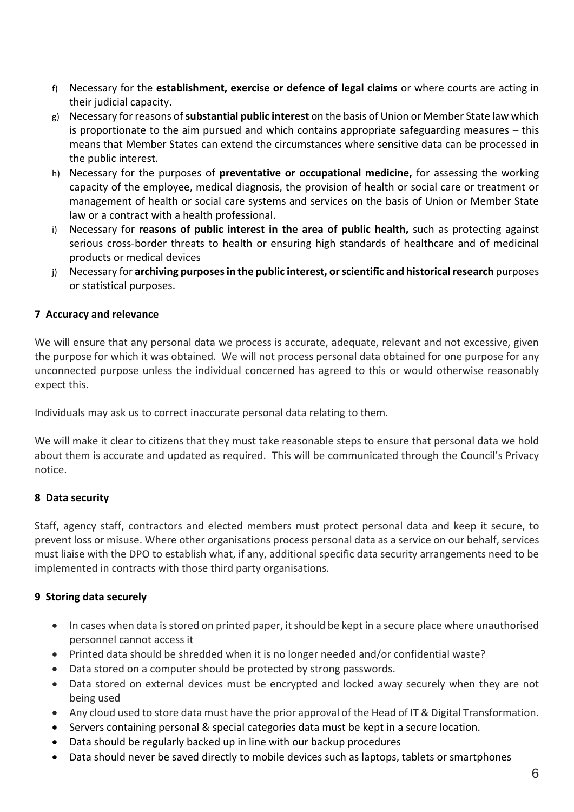- f) Necessary for the **establishment, exercise or defence of legal claims** or where courts are acting in their judicial capacity.
- g) Necessary for reasons of**substantial public interest** on the basis of Union or Member State law which is proportionate to the aim pursued and which contains appropriate safeguarding measures – this means that Member States can extend the circumstances where sensitive data can be processed in the public interest.
- h) Necessary for the purposes of **preventative or occupational medicine,** for assessing the working capacity of the employee, medical diagnosis, the provision of health or social care or treatment or management of health or social care systems and services on the basis of Union or Member State law or a contract with a health professional.
- i) Necessary for **reasons of public interest in the area of public health,** such as protecting against serious cross-border threats to health or ensuring high standards of healthcare and of medicinal products or medical devices
- j) Necessary for **archiving purposes in the public interest, or scientific and historical research** purposes or statistical purposes.

## **7 Accuracy and relevance**

We will ensure that any personal data we process is accurate, adequate, relevant and not excessive, given the purpose for which it was obtained. We will not process personal data obtained for one purpose for any unconnected purpose unless the individual concerned has agreed to this or would otherwise reasonably expect this.

Individuals may ask us to correct inaccurate personal data relating to them.

We will make it clear to citizens that they must take reasonable steps to ensure that personal data we hold about them is accurate and updated as required. This will be communicated through the Council's Privacy notice.

#### **8 Data security**

Staff, agency staff, contractors and elected members must protect personal data and keep it secure, to prevent loss or misuse. Where other organisations process personal data as a service on our behalf, services must liaise with the DPO to establish what, if any, additional specific data security arrangements need to be implemented in contracts with those third party organisations.

#### **9 Storing data securely**

- In cases when data is stored on printed paper, it should be kept in a secure place where unauthorised personnel cannot access it
- Printed data should be shredded when it is no longer needed and/or confidential waste?
- Data stored on a computer should be protected by strong passwords.
- Data stored on external devices must be encrypted and locked away securely when they are not being used
- Any cloud used to store data must have the prior approval of the Head of IT & Digital Transformation.
- Servers containing personal & special categories data must be kept in a secure location.
- Data should be regularly backed up in line with our backup procedures
- Data should never be saved directly to mobile devices such as laptops, tablets or smartphones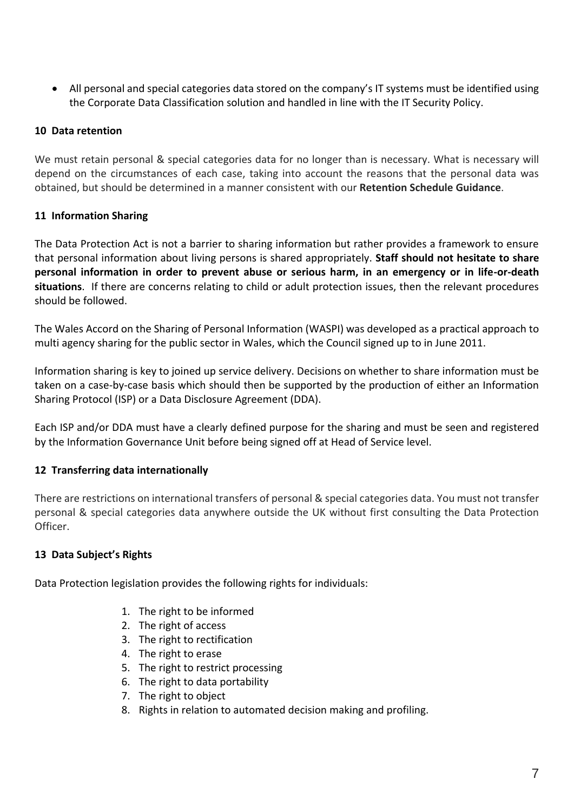All personal and special categories data stored on the company's IT systems must be identified using the Corporate Data Classification solution and handled in line with the IT Security Policy.

### **10 Data retention**

We must retain personal & special categories data for no longer than is necessary. What is necessary will depend on the circumstances of each case, taking into account the reasons that the personal data was obtained, but should be determined in a manner consistent with our **Retention Schedule Guidance**.

## **11 Information Sharing**

The Data Protection Act is not a barrier to sharing information but rather provides a framework to ensure that personal information about living persons is shared appropriately. **Staff should not hesitate to share personal information in order to prevent abuse or serious harm, in an emergency or in life-or-death situations**. If there are concerns relating to child or adult protection issues, then the relevant procedures should be followed.

The Wales Accord on the Sharing of Personal Information (WASPI) was developed as a practical approach to multi agency sharing for the public sector in Wales, which the Council signed up to in June 2011.

Information sharing is key to joined up service delivery. Decisions on whether to share information must be taken on a case-by-case basis which should then be supported by the production of either an Information Sharing Protocol (ISP) or a Data Disclosure Agreement (DDA).

Each ISP and/or DDA must have a clearly defined purpose for the sharing and must be seen and registered by the Information Governance Unit before being signed off at Head of Service level.

# **12 Transferring data internationally**

There are restrictions on international transfers of personal & special categories data. You must not transfer personal & special categories data anywhere outside the UK without first consulting the Data Protection Officer.

#### **13 Data Subject's Rights**

Data Protection legislation provides the following rights for individuals:

- 1. The right to be informed
- 2. The right of access
- 3. The right to rectification
- 4. The right to erase
- 5. The right to restrict processing
- 6. The right to data portability
- 7. The right to object
- 8. Rights in relation to automated decision making and profiling.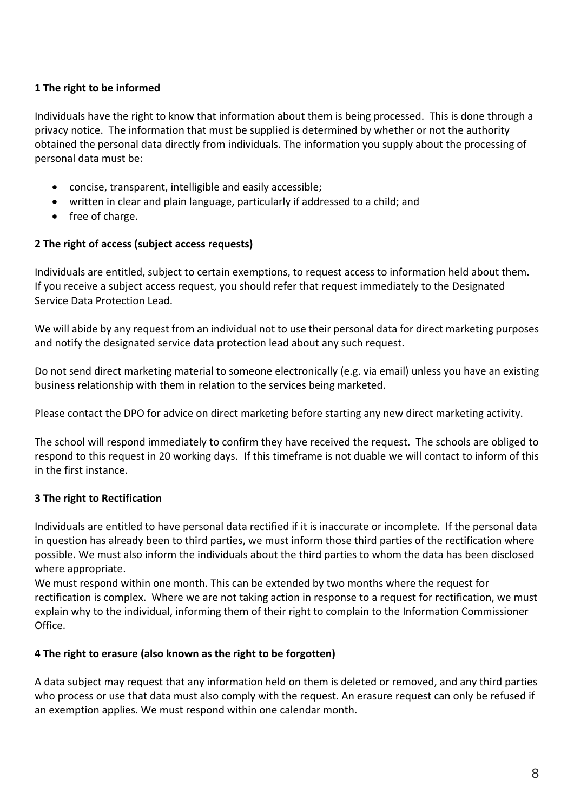# **1 The right to be informed**

Individuals have the right to know that information about them is being processed. This is done through a privacy notice. The information that must be supplied is determined by whether or not the authority obtained the personal data directly from individuals. The information you supply about the processing of personal data must be:

- concise, transparent, intelligible and easily accessible;
- written in clear and plain language, particularly if addressed to a child; and
- free of charge.

#### **2 The right of access (subject access requests)**

Individuals are entitled, subject to certain exemptions, to request access to information held about them. If you receive a subject access request, you should refer that request immediately to the Designated Service Data Protection Lead.

We will abide by any request from an individual not to use their personal data for direct marketing purposes and notify the designated service data protection lead about any such request.

Do not send direct marketing material to someone electronically (e.g. via email) unless you have an existing business relationship with them in relation to the services being marketed.

Please contact the DPO for advice on direct marketing before starting any new direct marketing activity.

The school will respond immediately to confirm they have received the request. The schools are obliged to respond to this request in 20 working days. If this timeframe is not duable we will contact to inform of this in the first instance.

#### **3 The right to Rectification**

Individuals are entitled to have personal data rectified if it is inaccurate or incomplete. If the personal data in question has already been to third parties, we must inform those third parties of the rectification where possible. We must also inform the individuals about the third parties to whom the data has been disclosed where appropriate.

We must respond within one month. This can be extended by two months where the request for rectification is complex. Where we are not taking action in response to a request for rectification, we must explain why to the individual, informing them of their right to complain to the Information Commissioner Office.

#### **4 The right to erasure (also known as the right to be forgotten)**

A data subject may request that any information held on them is deleted or removed, and any third parties who process or use that data must also comply with the request. An erasure request can only be refused if an exemption applies. We must respond within one calendar month.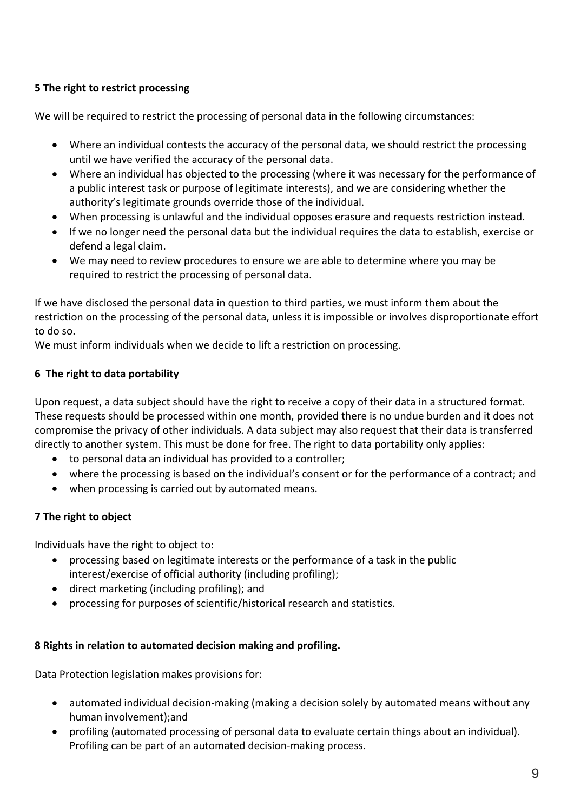# **5 The right to restrict processing**

We will be required to restrict the processing of personal data in the following circumstances:

- Where an individual contests the accuracy of the personal data, we should restrict the processing until we have verified the accuracy of the personal data.
- Where an individual has objected to the processing (where it was necessary for the performance of a public interest task or purpose of legitimate interests), and we are considering whether the authority's legitimate grounds override those of the individual.
- When processing is unlawful and the individual opposes erasure and requests restriction instead.
- If we no longer need the personal data but the individual requires the data to establish, exercise or defend a legal claim.
- We may need to review procedures to ensure we are able to determine where you may be required to restrict the processing of personal data.

If we have disclosed the personal data in question to third parties, we must inform them about the restriction on the processing of the personal data, unless it is impossible or involves disproportionate effort to do so.

We must inform individuals when we decide to lift a restriction on processing.

# **6 The right to data portability**

Upon request, a data subject should have the right to receive a copy of their data in a structured format. These requests should be processed within one month, provided there is no undue burden and it does not compromise the privacy of other individuals. A data subject may also request that their data is transferred directly to another system. This must be done for free. The right to data portability only applies:

- to personal data an individual has provided to a controller;
- where the processing is based on the individual's consent or for the performance of a contract; and
- when processing is carried out by automated means.

# **7 The right to object**

Individuals have the right to object to:

- processing based on legitimate interests or the performance of a task in the public interest/exercise of official authority (including profiling);
- direct marketing (including profiling); and
- processing for purposes of scientific/historical research and statistics.

# **8 Rights in relation to automated decision making and profiling.**

Data Protection legislation makes provisions for:

- automated individual decision-making (making a decision solely by automated means without any human involvement);and
- profiling (automated processing of personal data to evaluate certain things about an individual). Profiling can be part of an automated decision-making process.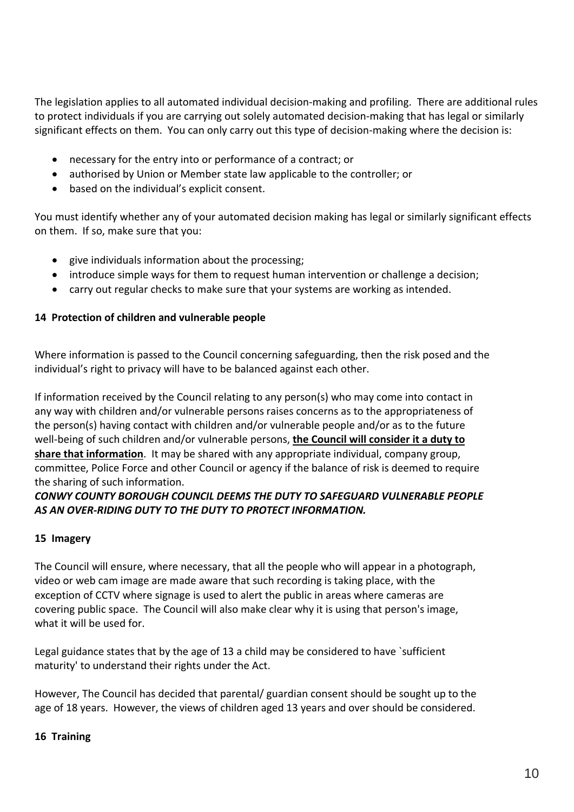The legislation applies to all automated individual decision-making and profiling. There are additional rules to protect individuals if you are carrying out solely automated decision-making that has legal or similarly significant effects on them. You can only carry out this type of decision-making where the decision is:

- necessary for the entry into or performance of a contract; or
- authorised by Union or Member state law applicable to the controller; or
- based on the individual's explicit consent.

You must identify whether any of your automated decision making has legal or similarly significant effects on them. If so, make sure that you:

- give individuals information about the processing;
- introduce simple ways for them to request human intervention or challenge a decision;
- carry out regular checks to make sure that your systems are working as intended.

#### **14 Protection of children and vulnerable people**

Where information is passed to the Council concerning safeguarding, then the risk posed and the individual's right to privacy will have to be balanced against each other.

If information received by the Council relating to any person(s) who may come into contact in any way with children and/or vulnerable persons raises concerns as to the appropriateness of the person(s) having contact with children and/or vulnerable people and/or as to the future well-being of such children and/or vulnerable persons, **the Council will consider it a duty to share that information**. It may be shared with any appropriate individual, company group, committee, Police Force and other Council or agency if the balance of risk is deemed to require the sharing of such information.

## *CONWY COUNTY BOROUGH COUNCIL DEEMS THE DUTY TO SAFEGUARD VULNERABLE PEOPLE AS AN OVER-RIDING DUTY TO THE DUTY TO PROTECT INFORMATION.*

#### **15 Imagery**

The Council will ensure, where necessary, that all the people who will appear in a photograph, video or web cam image are made aware that such recording is taking place, with the exception of CCTV where signage is used to alert the public in areas where cameras are covering public space. The Council will also make clear why it is using that person's image, what it will be used for.

Legal guidance states that by the age of 13 a child may be considered to have `sufficient maturity' to understand their rights under the Act.

However, The Council has decided that parental/ guardian consent should be sought up to the age of 18 years. However, the views of children aged 13 years and over should be considered.

#### **16 Training**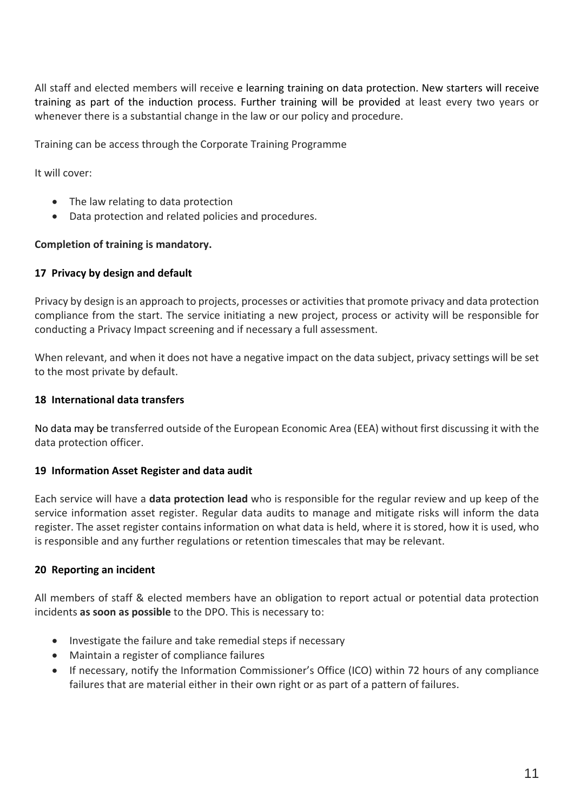All staff and elected members will receive e learning training on data protection. New starters will receive training as part of the induction process. Further training will be provided at least every two years or whenever there is a substantial change in the law or our policy and procedure.

Training can be access through the Corporate Training Programme

It will cover:

- The law relating to data protection
- Data protection and related policies and procedures.

#### **Completion of training is mandatory.**

#### **17 Privacy by design and default**

Privacy by design is an approach to projects, processes or activities that promote privacy and data protection compliance from the start. The service initiating a new project, process or activity will be responsible for conducting a Privacy Impact screening and if necessary a full assessment.

When relevant, and when it does not have a negative impact on the data subject, privacy settings will be set to the most private by default.

#### **18 International data transfers**

No data may be transferred outside of the European Economic Area (EEA) without first discussing it with the data protection officer.

#### **19 Information Asset Register and data audit**

Each service will have a **data protection lead** who is responsible for the regular review and up keep of the service information asset register. Regular data audits to manage and mitigate risks will inform the data register. The asset register contains information on what data is held, where it is stored, how it is used, who is responsible and any further regulations or retention timescales that may be relevant.

#### **20 Reporting an incident**

All members of staff & elected members have an obligation to report actual or potential data protection incidents **as soon as possible** to the DPO. This is necessary to:

- Investigate the failure and take remedial steps if necessary
- Maintain a register of compliance failures
- If necessary, notify the Information Commissioner's Office (ICO) within 72 hours of any compliance failures that are material either in their own right or as part of a pattern of failures.